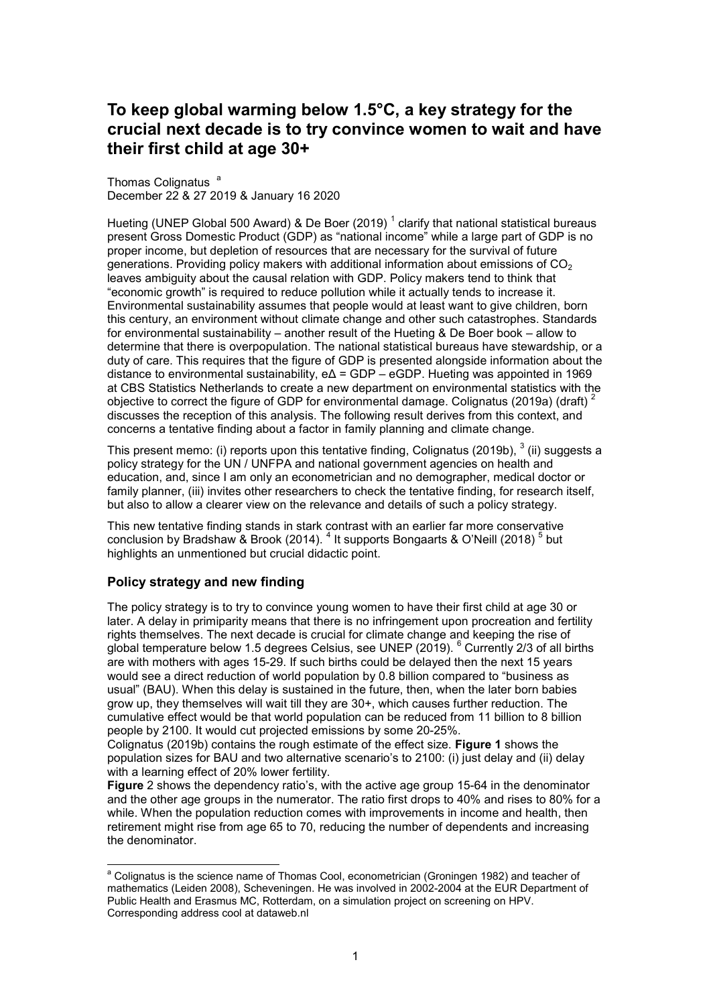# **To keep global warming below 1.5°C, a key strategy for the crucial next decade is to try convince women to wait and have their first child at age 30+**

Thomas Colignatus<sup>a</sup> December 22 & 27 2019 & January 16 2020

Hueting (UNEP Global 500 Award) & De Boer (2019)  $^{\rm 1}$  clarify that national statistical bureaus present Gross Domestic Product (GDP) as "national income" while a large part of GDP is no proper income, but depletion of resources that are necessary for the survival of future generations. Providing policy makers with additional information about emissions of  $CO<sub>2</sub>$ leaves ambiguity about the causal relation with GDP. Policy makers tend to think that "economic growth" is required to reduce pollution while it actually tends to increase it. Environmental sustainability assumes that people would at least want to give children, born this century, an environment without climate change and other such catastrophes. Standards for environmental sustainability – another result of the Hueting & De Boer book – allow to determine that there is overpopulation. The national statistical bureaus have stewardship, or a duty of care. This requires that the figure of GDP is presented alongside information about the distance to environmental sustainability, eΔ = GDP – eGDP. Hueting was appointed in 1969 at CBS Statistics Netherlands to create a new department on environmental statistics with the objective to correct the figure of GDP for environmental damage. Colignatus (2019a) (draft)  $2$ discusses the reception of this analysis. The following result derives from this context, and concerns a tentative finding about a factor in family planning and climate change.

This present memo: (i) reports upon this tentative finding, Colignatus (2019b),  $^3$  (ii) suggests a policy strategy for the UN / UNFPA and national government agencies on health and education, and, since I am only an econometrician and no demographer, medical doctor or family planner, (iii) invites other researchers to check the tentative finding, for research itself, but also to allow a clearer view on the relevance and details of such a policy strategy.

This new tentative finding stands in stark contrast with an earlier far more conservative conclusion by Bradshaw & Brook (2014). <sup>4</sup> It supports Bongaarts & O'Neill (2018) <sup>5</sup> but highlights an unmentioned but crucial didactic point.

## **Policy strategy and new finding**

The policy strategy is to try to convince young women to have their first child at age 30 or later. A delay in primiparity means that there is no infringement upon procreation and fertility rights themselves. The next decade is crucial for climate change and keeping the rise of global temperature below 1.5 degrees Celsius, see UNEP (2019).  $^6$  Currently 2/3 of all births are with mothers with ages 15-29. If such births could be delayed then the next 15 years would see a direct reduction of world population by 0.8 billion compared to "business as usual" (BAU). When this delay is sustained in the future, then, when the later born babies grow up, they themselves will wait till they are 30+, which causes further reduction. The cumulative effect would be that world population can be reduced from 11 billion to 8 billion people by 2100. It would cut projected emissions by some 20-25%.

Colignatus (2019b) contains the rough estimate of the effect size. **Figure 1** shows the population sizes for BAU and two alternative scenario's to 2100: (i) just delay and (ii) delay with a learning effect of 20% lower fertility.

**Figure** 2 shows the dependency ratio's, with the active age group 15-64 in the denominator and the other age groups in the numerator. The ratio first drops to 40% and rises to 80% for a while. When the population reduction comes with improvements in income and health, then retirement might rise from age 65 to 70, reducing the number of dependents and increasing the denominator.

 a Colignatus is the science name of Thomas Cool, econometrician (Groningen 1982) and teacher of mathematics (Leiden 2008), Scheveningen. He was involved in 2002-2004 at the EUR Department of Public Health and Erasmus MC, Rotterdam, on a simulation project on screening on HPV. Corresponding address cool at dataweb.nl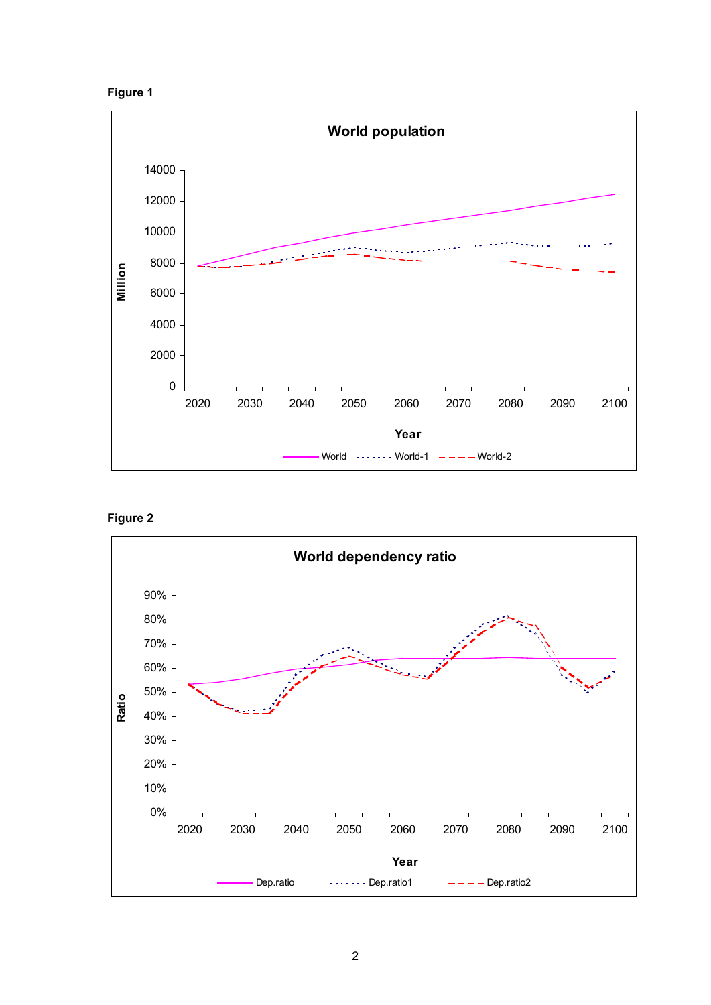



**Figure 2**

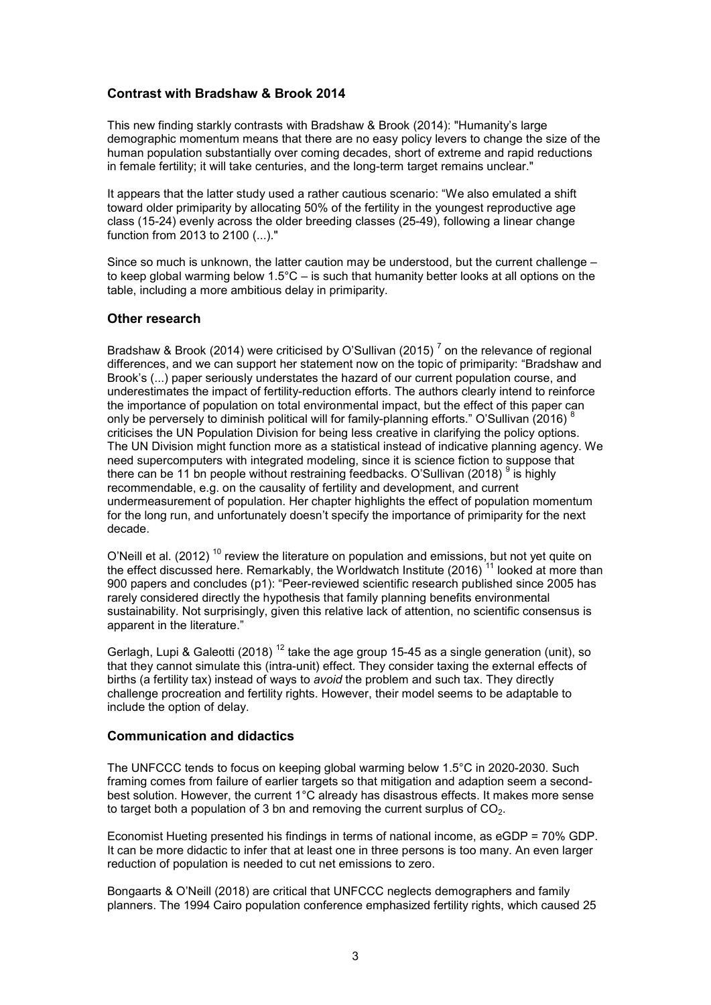# **Contrast with Bradshaw & Brook 2014**

This new finding starkly contrasts with Bradshaw & Brook (2014): "Humanity's large demographic momentum means that there are no easy policy levers to change the size of the human population substantially over coming decades, short of extreme and rapid reductions in female fertility; it will take centuries, and the long-term target remains unclear."

It appears that the latter study used a rather cautious scenario: "We also emulated a shift toward older primiparity by allocating 50% of the fertility in the youngest reproductive age class (15-24) evenly across the older breeding classes (25-49), following a linear change function from 2013 to 2100 (...)."

Since so much is unknown, the latter caution may be understood, but the current challenge – to keep global warming below  $1.5^{\circ}$ C – is such that humanity better looks at all options on the table, including a more ambitious delay in primiparity.

# **Other research**

Bradshaw & Brook (2014) were criticised by O'Sullivan (2015)  $^7$  on the relevance of regional differences, and we can support her statement now on the topic of primiparity: "Bradshaw and Brook's (...) paper seriously understates the hazard of our current population course, and underestimates the impact of fertility-reduction efforts. The authors clearly intend to reinforce the importance of population on total environmental impact, but the effect of this paper can only be perversely to diminish political will for family-planning efforts." O'Sullivan (2016) <sup>8</sup> criticises the UN Population Division for being less creative in clarifying the policy options. The UN Division might function more as a statistical instead of indicative planning agency. We need supercomputers with integrated modeling, since it is science fiction to suppose that there can be 11 bn people without restraining feedbacks. O'Sullivan (2018)  $^9$  is highly recommendable, e.g. on the causality of fertility and development, and current undermeasurement of population. Her chapter highlights the effect of population momentum for the long run, and unfortunately doesn't specify the importance of primiparity for the next decade.

O'Neill et al. (2012)  $^{10}$  review the literature on population and emissions, but not yet quite on the effect discussed here. Remarkably, the Worldwatch Institute (2016)  $^{\text{11}}$  looked at more than 900 papers and concludes (p1): "Peer-reviewed scientific research published since 2005 has rarely considered directly the hypothesis that family planning benefits environmental sustainability. Not surprisingly, given this relative lack of attention, no scientific consensus is apparent in the literature."

Gerlagh, Lupi & Galeotti (2018)<sup>12</sup> take the age group 15-45 as a single generation (unit), so that they cannot simulate this (intra-unit) effect. They consider taxing the external effects of births (a fertility tax) instead of ways to *avoid* the problem and such tax. They directly challenge procreation and fertility rights. However, their model seems to be adaptable to include the option of delay.

## **Communication and didactics**

The UNFCCC tends to focus on keeping global warming below 1.5°C in 2020-2030. Such framing comes from failure of earlier targets so that mitigation and adaption seem a secondbest solution. However, the current 1°C already has disastrous effects. It makes more sense to target both a population of 3 bn and removing the current surplus of  $CO<sub>2</sub>$ .

Economist Hueting presented his findings in terms of national income, as eGDP = 70% GDP. It can be more didactic to infer that at least one in three persons is too many. An even larger reduction of population is needed to cut net emissions to zero.

Bongaarts & O'Neill (2018) are critical that UNFCCC neglects demographers and family planners. The 1994 Cairo population conference emphasized fertility rights, which caused 25